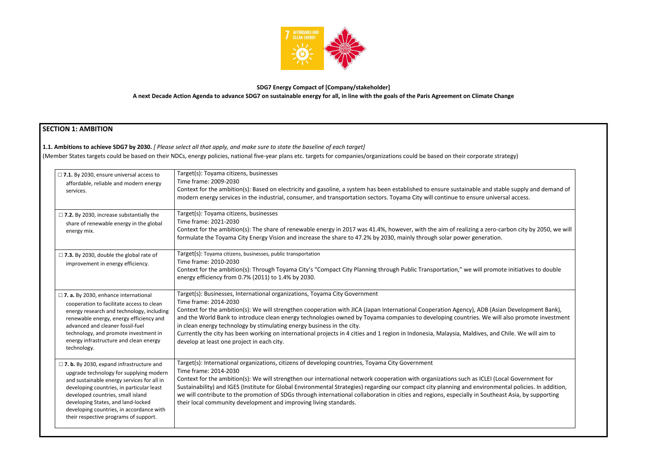

## **SDG7 Energy Compact of [Company/stakeholder] A next Decade Action Agenda to advance SDG7 on sustainable energy for all, in line with the goals of the Paris Agreement on Climate Change**

## **SECTION 1: AMBITION**

**1.1. Ambitions to achieve SDG7 by 2030.** *[ Please select all that apply, and make sure to state the baseline of each target]* 

(Member States targets could be based on their NDCs, energy policies, national five-year plans etc. targets for companies/organizations could be based on their corporate strategy)

| $\square$ 7.1. By 2030, ensure universal access to<br>affordable, reliable and modern energy<br>services.                                                                                                                                                                                                                                             | Target(s): Toyama citizens, businesses<br>Time frame: 2009-2030<br>Context for the ambition(s): Based on electricity and gasoline, a system has been established to ensure sustainable and sta<br>modern energy services in the industrial, consumer, and transportation sectors. Toyama City will continue to ensure univer                                                                                                                                                                                                                                                                                     |
|-------------------------------------------------------------------------------------------------------------------------------------------------------------------------------------------------------------------------------------------------------------------------------------------------------------------------------------------------------|------------------------------------------------------------------------------------------------------------------------------------------------------------------------------------------------------------------------------------------------------------------------------------------------------------------------------------------------------------------------------------------------------------------------------------------------------------------------------------------------------------------------------------------------------------------------------------------------------------------|
| $\square$ 7.2. By 2030, increase substantially the<br>share of renewable energy in the global<br>energy mix.                                                                                                                                                                                                                                          | Target(s): Toyama citizens, businesses<br>Time frame: 2021-2030<br>Context for the ambition(s): The share of renewable energy in 2017 was 41.4%, however, with the aim of realizing a zero-ca<br>formulate the Toyama City Energy Vision and increase the share to 47.2% by 2030, mainly through solar power generation.                                                                                                                                                                                                                                                                                         |
| $\square$ 7.3. By 2030, double the global rate of<br>improvement in energy efficiency.                                                                                                                                                                                                                                                                | Target(s): Toyama citizens, businesses, public transportation<br>Time frame: 2010-2030<br>Context for the ambition(s): Through Toyama City's "Compact City Planning through Public Transportation," we will promo<br>energy efficiency from 0.7% (2011) to 1.4% by 2030.                                                                                                                                                                                                                                                                                                                                         |
| $\Box$ 7. a. By 2030, enhance international<br>cooperation to facilitate access to clean<br>energy research and technology, including<br>renewable energy, energy efficiency and<br>advanced and cleaner fossil-fuel<br>technology, and promote investment in<br>energy infrastructure and clean energy<br>technology.                                | Target(s): Businesses, International organizations, Toyama City Government<br>Time frame: 2014-2030<br>Context for the ambition(s): We will strengthen cooperation with JICA (Japan International Cooperation Agency), ADB (Asia<br>and the World Bank to introduce clean energy technologies owned by Toyama companies to developing countries. We will<br>in clean energy technology by stimulating energy business in the city.<br>Currently the city has been working on international projects in 4 cities and 1 region in Indonesia, Malaysia, Maldives, and<br>develop at least one project in each city. |
| $\Box$ 7. b. By 2030, expand infrastructure and<br>upgrade technology for supplying modern<br>and sustainable energy services for all in<br>developing countries, in particular least<br>developed countries, small island<br>developing States, and land-locked<br>developing countries, in accordance with<br>their respective programs of support. | Target(s): International organizations, citizens of developing countries, Toyama City Government<br>Time frame: 2014-2030<br>Context for the ambition(s): We will strengthen our international network cooperation with organizations such as ICLEI (Lo<br>Sustainability) and IGES (Institute for Global Environmental Strategies) regarding our compact city planning and environme<br>we will contribute to the promotion of SDGs through international collaboration in cities and regions, especially in Southea<br>their local community development and improving living standards.                       |

d stable supply and demand of miversal access. ero-carbon city by 2050, we will romote initiatives to double (Asian Development Bank), will also promote investment and Chile. We will aim to EI (Local Government for onmental policies. In addition, utheast Asia, by supporting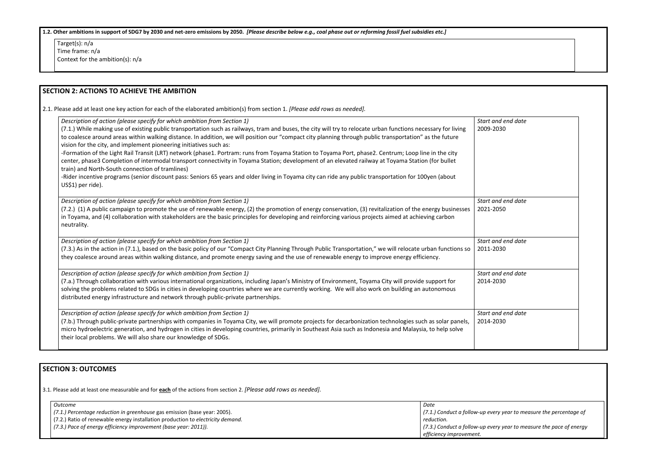| 1.2. Other ambitions in support of SDG7 by 2030 and net-zero emissions by 2050. [Please describe below e.g., coal phase out or reforming fossil fuel subsidies etc.]                                                                                                                                                                                                                                                                                                                                                                                                                                                                                                                                                                                                                                                                                                                                                                                                                                                        |                                 |  |
|-----------------------------------------------------------------------------------------------------------------------------------------------------------------------------------------------------------------------------------------------------------------------------------------------------------------------------------------------------------------------------------------------------------------------------------------------------------------------------------------------------------------------------------------------------------------------------------------------------------------------------------------------------------------------------------------------------------------------------------------------------------------------------------------------------------------------------------------------------------------------------------------------------------------------------------------------------------------------------------------------------------------------------|---------------------------------|--|
| Target $(s)$ : n/a<br>Time frame: n/a<br>Context for the ambition(s): n/a                                                                                                                                                                                                                                                                                                                                                                                                                                                                                                                                                                                                                                                                                                                                                                                                                                                                                                                                                   |                                 |  |
| <b>SECTION 2: ACTIONS TO ACHIEVE THE AMBITION</b>                                                                                                                                                                                                                                                                                                                                                                                                                                                                                                                                                                                                                                                                                                                                                                                                                                                                                                                                                                           |                                 |  |
| 2.1. Please add at least one key action for each of the elaborated ambition(s) from section 1. [Please add rows as needed].                                                                                                                                                                                                                                                                                                                                                                                                                                                                                                                                                                                                                                                                                                                                                                                                                                                                                                 |                                 |  |
| Description of action (please specify for which ambition from Section 1)<br>(7.1.) While making use of existing public transportation such as railways, tram and buses, the city will try to relocate urban functions necessary for living<br>to coalesce around areas within walking distance. In addition, we will position our "compact city planning through public transportation" as the future<br>vision for the city, and implement pioneering initiatives such as:<br>-Formation of the Light Rail Transit (LRT) network (phase1. Portram: runs from Toyama Station to Toyama Port, phase2. Centrum; Loop line in the city<br>center, phase3 Completion of intermodal transport connectivity in Toyama Station; development of an elevated railway at Toyama Station (for bullet<br>train) and North-South connection of tramlines)<br>-Rider incentive programs (senior discount pass: Seniors 65 years and older living in Toyama city can ride any public transportation for 100yen (about<br>US\$1) per ride). | Start and end date<br>2009-2030 |  |
| Description of action (please specify for which ambition from Section 1)<br>(7.2.) (1) A public campaign to promote the use of renewable energy, (2) the promotion of energy conservation, (3) revitalization of the energy businesses<br>in Toyama, and (4) collaboration with stakeholders are the basic principles for developing and reinforcing various projects aimed at achieving carbon<br>neutrality.                                                                                                                                                                                                                                                                                                                                                                                                                                                                                                                                                                                                              | Start and end date<br>2021-2050 |  |
| Description of action (please specify for which ambition from Section 1)<br>(7.3.) As in the action in (7.1.), based on the basic policy of our "Compact City Planning Through Public Transportation," we will relocate urban functions so<br>they coalesce around areas within walking distance, and promote energy saving and the use of renewable energy to improve energy efficiency.                                                                                                                                                                                                                                                                                                                                                                                                                                                                                                                                                                                                                                   | Start and end date<br>2011-2030 |  |
| Description of action (please specify for which ambition from Section 1)<br>(7.a.) Through collaboration with various international organizations, including Japan's Ministry of Environment, Toyama City will provide support for<br>solving the problems related to SDGs in cities in developing countries where we are currently working. We will also work on building an autonomous<br>distributed energy infrastructure and network through public-private partnerships.                                                                                                                                                                                                                                                                                                                                                                                                                                                                                                                                              | Start and end date<br>2014-2030 |  |
| Description of action (please specify for which ambition from Section 1)<br>(7.b.) Through public-private partnerships with companies in Toyama City, we will promote projects for decarbonization technologies such as solar panels,<br>micro hydroelectric generation, and hydrogen in cities in developing countries, primarily in Southeast Asia such as Indonesia and Malaysia, to help solve<br>their local problems. We will also share our knowledge of SDGs.                                                                                                                                                                                                                                                                                                                                                                                                                                                                                                                                                       | Start and end date<br>2014-2030 |  |

# **SECTION 3: OUTCOMES**

3.1*.* Please add at least one measurable and for **each** of the actions from section 2. *[Please add rows as needed].*

| Outcome                                                                         | Date                         |
|---------------------------------------------------------------------------------|------------------------------|
| (7.1.) Percentage reduction in greenhouse gas emission (base year: 2005).       | (7.1.) Conduct a follow-up e |
| (7.2.) Ratio of renewable energy installation production to electricity demand. | reduction.                   |
| (7.3.) Pace of energy efficiency improvement (base year: 2011)).                | (7.3.) Conduct a follow-up e |
|                                                                                 | efficiency improvement.      |

| Date                                                                                          |  |
|-----------------------------------------------------------------------------------------------|--|
| (7.1.) Conduct a follow-up every year to measure the percentage of<br>reduction.              |  |
| (7.3.) Conduct a follow-up every year to measure the pace of energy<br>efficiency imnrovement |  |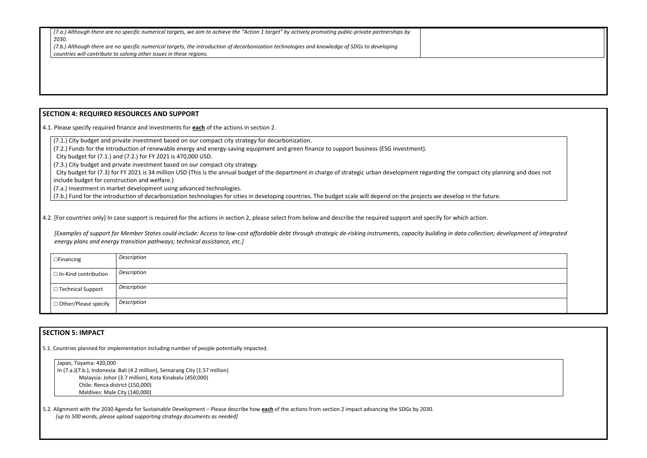| (7.a.) Although there are no specific numerical targets, we aim to achieve the "Action 1 target" by actively promoting public-private partnerships by |  |
|-------------------------------------------------------------------------------------------------------------------------------------------------------|--|
| 2030.                                                                                                                                                 |  |
| (7.b.) Although there are no specific numerical targets, the introduction of decarbonization technologies and knowledge of SDGs to developing         |  |
| I countries will contribute to solving other issues in these regions.                                                                                 |  |

### **SECTION 4: REQUIRED RESOURCES AND SUPPORT**

4.1. Please specify required finance and investments for **each** of the actions in section 2.

(7.1.) City budget and private investment based on our compact city strategy for decarbonization.

City budget for (7.3) for FY 2021 is 34 million USD (This is the annual budget of the department in charge of strategic urban development regarding the compact city planning and does not include budget for construction and welfare.)

(7.2.) Funds for the introduction of renewable energy and energy-saving equipment and green finance to support business (ESG investment).

City budget for (7.1.) and (7.2.) for FY 2021 is 470,000 USD.

(7.3.) City budget and private investment based on our compact city strategy.

(7.a.) Investment in market development using advanced technologies.

(7.b.) Fund for the introduction of decarbonization technologies for cities in developing countries. The budget scale will depend on the projects we develop in the future.

4.2. [For countries only] In case support is required for the actions in section 2, please select from below and describe the required support and specify for which action.

*[Examples of support for Member States could include: Access to low-cost affordable debt through strategic de-risking instruments, capacity building in data collection; development of integrated energy plans and energy transition pathways; technical assistance, etc.]*

| $\Box$ Financing            | Description |
|-----------------------------|-------------|
| $\Box$ In-Kind contribution | Description |
| □ Technical Support         | Description |
| $\Box$ Other/Please specify | Description |

## **SECTION 5: IMPACT**

5.1. Countries planned for implementation including number of people potentially impacted.

Japan, Toyama: 420,000 In (7.a.)(7.b.), Indonesia: Bali (4.2 million), Semarang City (1.57 million) Malaysia: Johor (3.7 million), Kota Kinabalu (450,000) Chile: Renca district (150,000) Maldives: Male City (140,000)

5.2. Alignment with the 2030 Agenda for Sustainable Development – Please describe how **each** of the actions from section 2 impact advancing the SDGs by 2030. *[up to 500 words, please upload supporting strategy documents as needed]* 



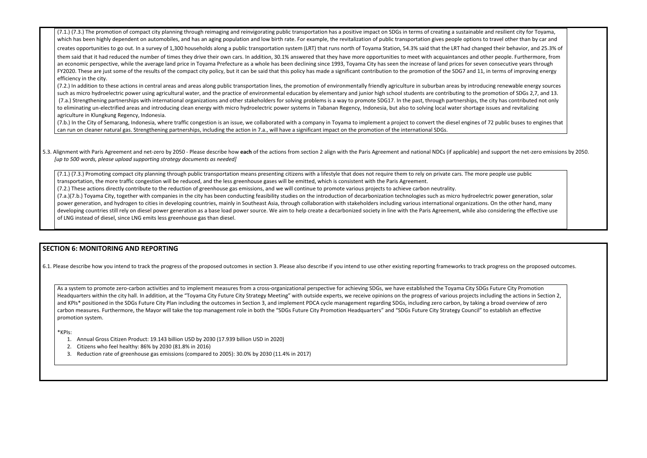(7.1.) (7.3.) The promotion of compact city planning through reimaging and reinvigorating public transportation has a positive impact on SDGs in terms of creating a sustainable ar which has been highly dependent on automobiles, and has an aging population and low birth rate. For example, the revitalization of public transportation gives people options to

creates opportunities to go out. In a survey of 1,300 households along a public transportation system (LRT) that runs north of Toyama Station, 54.3% said that the LRT had change them said that it had reduced the number of times they drive their own cars. In addition, 30.1% answered that they have more opportunities to meet with acquaintances and other an economic perspective, while the average land price in Toyama Prefecture as a whole has been declining since 1993, Toyama City has seen the increase of land prices for seven FY2020. These are just some of the results of the compact city policy, but it can be said that this policy has made a significant contribution to the promotion of the SDG7 and 11, in efficiency in the city.

(7.2.) In addition to these actions in central areas and areas along public transportation lines, the promotion of environmentally friendly agriculture in suburban areas by introduci such as micro hydroelectric power using agricultural water, and the practice of environmental education by elementary and junior high school students are contributing to the promotion of SDGs 2,7, and the promotion of SDGs (7.a.) Strengthening partnerships with international organizations and other stakeholders for solving problems is a way to promote SDG17. In the past, through partnerships, the to eliminating un-electrified areas and introducing clean energy with micro hydroelectric power systems in Tabanan Regency, Indonesia, but also to solving local water shortage is agriculture in Klungkung Regency, Indonesia.

(7.b.) In the City of Semarang, Indonesia, where traffic congestion is an issue, we collaborated with a company in Toyama to implement a project to convert the diesel engines of can run on cleaner natural gas. Strengthening partnerships, including the action in 7.a., will have a significant impact on the promotion of the international SDGs.

### 5.3. Alignment with Paris Agreement and net-zero by 2050 - Please describe how each of the actions from section 2 align with the Paris Agreement and national NDCs (if applicable) and *[up to 500 words, please upload supporting strategy documents as needed]*

(7.1.) (7.3.) Promoting compact city planning through public transportation means presenting citizens with a lifestyle that does not require them to rely on private cars. The more transportation, the more traffic congestion will be reduced, and the less greenhouse gases will be emitted, which is consistent with the Paris Agreement. (7.2.) These actions directly contribute to the reduction of greenhouse gas emissions, and we will continue to promote various projects to achieve carbon neutrality. (7.a.)(7.b.) Toyama City, together with companies in the city has been conducting feasibility studies on the introduction of decarbonization technologies such as micro hydroelectric power generation, solar power generation power generation, and hydrogen to cities in developing countries, mainly in Southeast Asia, through collaboration with stakeholders including various international organizations. developing countries still rely on diesel power generation as a base load power source. We aim to help create a decarbonized society in line with the Paris Agreement, while also of LNG instead of diesel, since LNG emits less greenhouse gas than diesel.

As a system to promote zero-carbon activities and to implement measures from a cross-organizational perspective for achieving SDGs, we have established the Toyama City SDGs Headquarters within the city hall. In addition, at the "Toyama City Future City Strategy Meeting" with outside experts, we receive opinions on the progress of various projects inclu and KPIs\* positioned in the SDGs Future City Plan including the outcomes in Section 3, and implement PDCA cycle management regarding SDGs, including zero carbon, by taking a carbon measures. Furthermore, the Mayor will take the top management role in both the "SDGs Future City Promotion Headquarters" and "SDGs Future City Strategy Council" to promotion system.

### **SECTION 6: MONITORING AND REPORTING**

6.1. Please describe how you intend to track the progress of the proposed outcomes in section 3. Please also describe if you intend to use other existing reporting frameworks to track progress on the proposed outcomes.

\*KPIs:

- 1. Annual Gross Citizen Product: 19.143 billion USD by 2030 (17.939 billion USD in 2020)
- 2. Citizens who feel healthy: 86% by 2030 (81.8% in 2016)
- 3. Reduction rate of greenhouse gas emissions (compared to 2005): 30.0% by 2030 (11.4% in 2017)

| nd resilient city for Toyama,<br>travel other than by car and<br>d their behavior, and 25.3% of<br>er people. Furthermore, from<br>consecutive years through<br>n terms of improving energy |  |  |  |
|---------------------------------------------------------------------------------------------------------------------------------------------------------------------------------------------|--|--|--|
| ing renewable energy sources<br>omotion of SDGs 2,7, and 13.<br>city has contributed not only<br>sues and revitalizing                                                                      |  |  |  |
| 72 public buses to engines that                                                                                                                                                             |  |  |  |
| I support the net-zero emissions by 2050.                                                                                                                                                   |  |  |  |
| people use public                                                                                                                                                                           |  |  |  |
| ric power generation, solar<br>On the other hand, many<br>considering the effective use                                                                                                     |  |  |  |
|                                                                                                                                                                                             |  |  |  |
| progress on the proposed outcomes.                                                                                                                                                          |  |  |  |
| <b>Future City Promotion</b><br>uding the actions in Section 2,<br>broad overview of zero<br>establish an effective                                                                         |  |  |  |
|                                                                                                                                                                                             |  |  |  |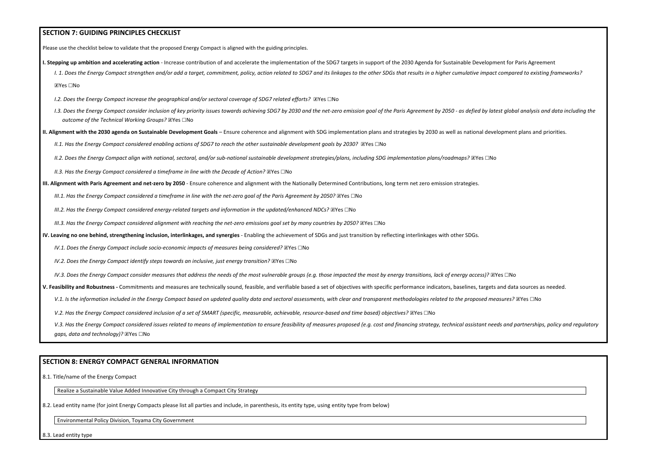### **SECTION 7: GUIDING PRINCIPLES CHECKLIST**

Please use the checklist below to validate that the proposed Energy Compact is aligned with the guiding principles.

- **I. Stepping up ambition and accelerating action** Increase contribution of and accelerate the implementation of the SDG7 targets in support of the 2030 Agenda for Sustainable Development for Paris Agreement
	- I. 1. Does the Energy Compact strengthen and/or add a target, commitment, policy, action related to SDG7 and its linkages to the other SDGs that results in a higher cumulative impact compared to existing frameworks? ☒Yes ☐No
	- *I.2. Does the Energy Compact increase the geographical and/or sectoral coverage of SDG7 related efforts?* ⊠Yes □No
	- 1.3. Does the Energy Compact consider inclusion of key priority issues towards achieving SDG7 by 2030 and the net-zero emission goal of the Paris Agreement by 2050 as defied by latest global analysis and data including t *outcome of the Technical Working Groups?* ☒Yes ☐No
- **II. Alignment with the 2030 agenda on Sustainable Development Goals** Ensure coherence and alignment with SDG implementation plans and strategies by 2030 as well as national development plans and priorities.
	- *II.1. Has the Energy Compact considered enabling actions of SDG7 to reach the other sustainable development goals by 2030?* ⊠Yes □No
	- *II.2. Does the Energy Compact align with national, sectoral, and/or sub-national sustainable development strategies/plans, including SDG implementation plans/roadmaps?* ☒Yes ☐No
	- *II.3. Has the Energy Compact considered a timeframe in line with the Decade of Action?* ⊠Yes □No
- **III. Alignment with Paris Agreement and net-zero by 2050** Ensure coherence and alignment with the Nationally Determined Contributions, long term net zero emission strategies.
	- *III.1. Has the Energy Compact considered a timeframe in line with the net-zero goal of the Paris Agreement by 2050?* ⊠Yes □No
	- *III.2. Has the Energy Compact considered energy-related targets and information in the updated/enhanced NDCs?* **⊠Yes** □No
	- *III.3. Has the Energy Compact considered alignment with reaching the net-zero emissions goal set by many countries by 2050?* ⊠Yes □No
- **IV. Leaving no one behind, strengthening inclusion, interlinkages, and synergies** Enabling the achievement of SDGs and just transition by reflecting interlinkages with other SDGs.
	- *IV.1. Does the Energy Compact include socio-economic impacts of measures being considered? ⊠Yes* □No
	- *IV.2. Does the Energy Compact identify steps towards an inclusive, just energy transition? ⊠Yes* □No
	- *IV.3. Does the Energy Compact consider measures that address the needs of the most vulnerable groups (e.g. those impacted the most by energy transitions, lack of energy access)?* ⊠Yes □No
- **V. Feasibility and Robustness -** Commitments and measures are technically sound, feasible, and verifiable based a set of objectives with specific performance indicators, baselines, targets and data sources as needed.
	- V.1. Is the information included in the Energy Compact based on updated quality data and sectoral assessments, with clear and transparent methodologies related to the proposed measures? **⊠Yes** □No
	- *V.2. Has the Energy Compact considered inclusion of a set of SMART (specific, measurable, achievable, resource-based and time based) objectives?* ⊠Yes □No

V.3. Has the Energy Compact considered issues related to means of implementation to ensure feasibility of measures proposed (e.g. cost and financing strategy, technical assistant needs and partnerships, policy and regulato *gaps, data and technology)?* ☒Yes ☐No

### **SECTION 8: ENERGY COMPACT GENERAL INFORMATION**

8.1. Title/name of the Energy Compact

Realize a Sustainable Value Added Innovative City through a Compact City Strategy

8.2. Lead entity name (for joint Energy Compacts please list all parties and include, in parenthesis, its entity type, using entity type from below)

Environmental Policy Division, Toyama City Government

8.3. Lead entity type